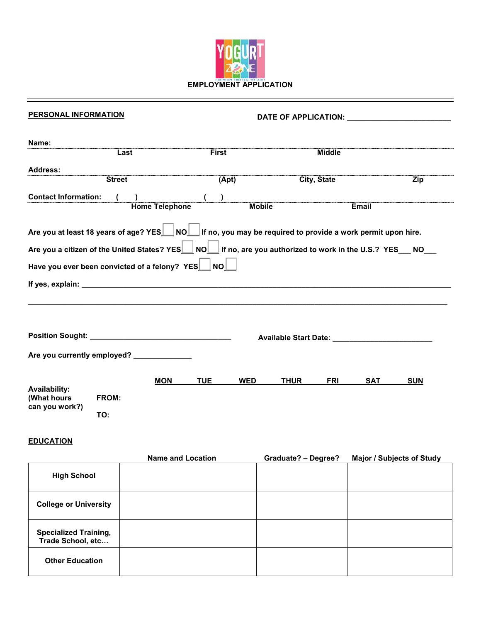

| <b>PERSONAL INFORMATION</b>                                                                                                                                                                                                    | DATE OF APPLICATION: NOTE: THE SERVICE OF APPLICATION: |                       |                          |                                                                  |             |               |            |            |  |
|--------------------------------------------------------------------------------------------------------------------------------------------------------------------------------------------------------------------------------|--------------------------------------------------------|-----------------------|--------------------------|------------------------------------------------------------------|-------------|---------------|------------|------------|--|
| Name:                                                                                                                                                                                                                          | Last                                                   |                       | <b>First</b>             |                                                                  |             | <b>Middle</b> |            |            |  |
| Address:                                                                                                                                                                                                                       |                                                        |                       |                          |                                                                  |             |               |            |            |  |
|                                                                                                                                                                                                                                | <b>Street</b>                                          |                       | (Apt)                    |                                                                  |             | City, State   |            | Zip        |  |
| <b>Contact Information:</b>                                                                                                                                                                                                    |                                                        | <b>Home Telephone</b> | $\overline{\phantom{a}}$ | <b>Mobile</b>                                                    |             |               | Email      |            |  |
| Are you at least 18 years of age? $YES$ NO $\Box$ If no, you may be required to provide a work permit upon hire.                                                                                                               |                                                        |                       |                          |                                                                  |             |               |            |            |  |
| Are you a citizen of the United States? YES   NO   If no, are you authorized to work in the U.S.? YES _ NO _                                                                                                                   |                                                        |                       |                          |                                                                  |             |               |            |            |  |
| Have you ever been convicted of a felony? YES NO                                                                                                                                                                               |                                                        |                       |                          |                                                                  |             |               |            |            |  |
| If yes, explain: The analysis of the state of the state of the state of the state of the state of the state of the state of the state of the state of the state of the state of the state of the state of the state of the sta |                                                        |                       |                          |                                                                  |             |               |            |            |  |
|                                                                                                                                                                                                                                |                                                        |                       |                          |                                                                  |             |               |            |            |  |
|                                                                                                                                                                                                                                |                                                        |                       |                          | Available Start Date: National Property of Available Start Date: |             |               |            |            |  |
| Are you currently employed? _____________                                                                                                                                                                                      |                                                        |                       |                          |                                                                  |             |               |            |            |  |
| <b>Availability:</b><br>(What hours<br>can you work?)                                                                                                                                                                          |                                                        | <b>MON</b>            | <b>TUE</b>               | <b>WED</b>                                                       | <b>THUR</b> | <b>FRI</b>    | <b>SAT</b> | <b>SUN</b> |  |
|                                                                                                                                                                                                                                | FROM:                                                  |                       |                          |                                                                  |             |               |            |            |  |
|                                                                                                                                                                                                                                | TO:                                                    |                       |                          |                                                                  |             |               |            |            |  |

# **EDUCATION**

|                                                   | <b>Name and Location</b> | <b>Graduate? - Degree?</b> | Major / Subjects of Study |
|---------------------------------------------------|--------------------------|----------------------------|---------------------------|
| <b>High School</b>                                |                          |                            |                           |
| <b>College or University</b>                      |                          |                            |                           |
| <b>Specialized Training,</b><br>Trade School, etc |                          |                            |                           |
| <b>Other Education</b>                            |                          |                            |                           |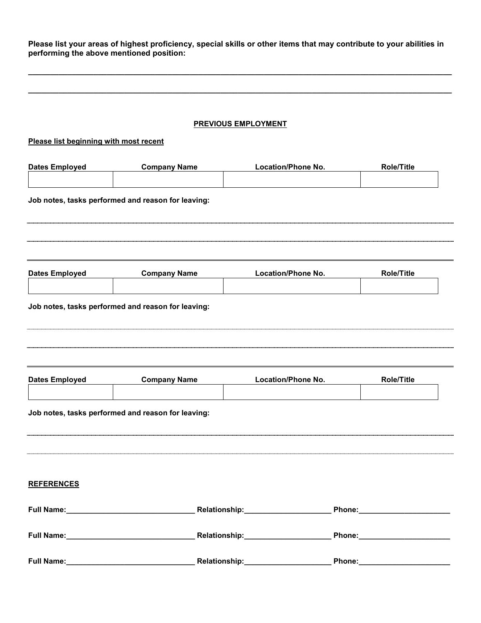**Please list your areas of highest proficiency, special skills or other items that may contribute to your abilities in performing the above mentioned position:**

**\_\_\_\_\_\_\_\_\_\_\_\_\_\_\_\_\_\_\_\_\_\_\_\_\_\_\_\_\_\_\_\_\_\_\_\_\_\_\_\_\_\_\_\_\_\_\_\_\_\_\_\_\_\_\_\_\_\_\_\_\_\_\_\_\_\_\_\_\_\_\_\_\_\_\_\_\_\_\_\_\_\_\_\_\_\_\_\_\_\_\_\_\_\_\_\_\_**

**\_\_\_\_\_\_\_\_\_\_\_\_\_\_\_\_\_\_\_\_\_\_\_\_\_\_\_\_\_\_\_\_\_\_\_\_\_\_\_\_\_\_\_\_\_\_\_\_\_\_\_\_\_\_\_\_\_\_\_\_\_\_\_\_\_\_\_\_\_\_\_\_\_\_\_\_\_\_\_\_\_\_\_\_\_\_\_\_\_\_\_\_\_\_\_\_\_**

### **PREVIOUS EMPLOYMENT**

## **Please list beginning with most recent**

| <b>Dates Employed</b> | <b>Company Name</b>                                | <b>Location/Phone No.</b>         | <b>Role/Title</b>             |
|-----------------------|----------------------------------------------------|-----------------------------------|-------------------------------|
|                       | Job notes, tasks performed and reason for leaving: |                                   |                               |
|                       |                                                    |                                   |                               |
| <b>Dates Employed</b> | <b>Company Name</b>                                | <b>Location/Phone No.</b>         | <b>Role/Title</b>             |
|                       | Job notes, tasks performed and reason for leaving: |                                   |                               |
|                       |                                                    |                                   |                               |
| <b>Dates Employed</b> | <b>Company Name</b>                                | Location/Phone No.                | <b>Role/Title</b>             |
|                       | Job notes, tasks performed and reason for leaving: |                                   |                               |
|                       |                                                    |                                   |                               |
| <b>REFERENCES</b>     |                                                    |                                   |                               |
|                       |                                                    | Relationship:____________________ | Phone:_______________________ |
|                       |                                                    | Relationship:____________________ |                               |
|                       |                                                    |                                   |                               |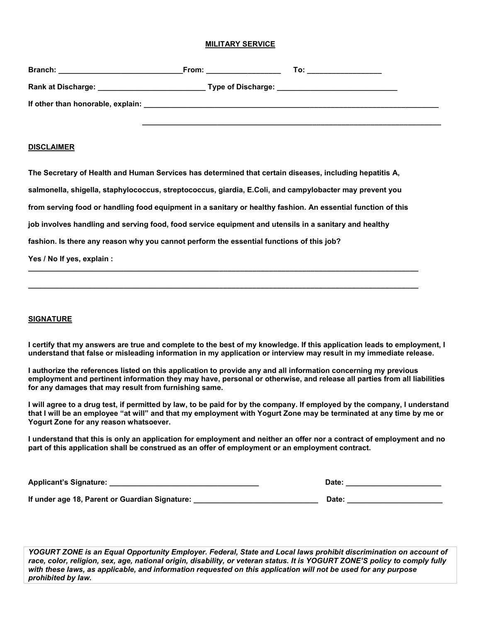#### **MILITARY SERVICE**

| <b>Branch:</b><br><u> 1980 - Jan Stein Harry Harry Harry Harry Harry Harry Harry Harry Harry Harry Harry Harry Harry Harry Harry</u> | From: the contract of the contract of the contract of the contract of the contract of the contract of the contract of the contract of the contract of the contract of the contract of the contract of the contract of the cont | To: the contract of the contract of the contract of the contract of the contract of the contract of the contract of the contract of the contract of the contract of the contract of the contract of the contract of the contra |
|--------------------------------------------------------------------------------------------------------------------------------------|--------------------------------------------------------------------------------------------------------------------------------------------------------------------------------------------------------------------------------|--------------------------------------------------------------------------------------------------------------------------------------------------------------------------------------------------------------------------------|
| Rank at Discharge: Manager and Manager and Manager and Manager and Manager and Manager and Manager and Manager                       |                                                                                                                                                                                                                                | Type of Discharge: __________________________________                                                                                                                                                                          |
|                                                                                                                                      |                                                                                                                                                                                                                                |                                                                                                                                                                                                                                |
|                                                                                                                                      |                                                                                                                                                                                                                                |                                                                                                                                                                                                                                |

#### **DISCLAIMER**

**The Secretary of Health and Human Services has determined that certain diseases, including hepatitis A,**

**salmonella, shigella, staphylococcus, streptococcus, giardia, E.Coli, and campylobacter may prevent you**

**from serving food or handling food equipment in a sanitary or healthy fashion. An essential function of this**

**\_\_\_\_\_\_\_\_\_\_\_\_\_\_\_\_\_\_\_\_\_\_\_\_\_\_\_\_\_\_\_\_\_\_\_\_\_\_\_\_\_\_\_\_\_\_\_\_\_\_\_\_\_\_\_\_\_\_\_\_\_\_\_\_\_\_\_\_\_\_\_\_\_\_\_\_\_\_\_\_\_\_\_\_\_\_\_\_\_\_\_\_\_\_**

**\_\_\_\_\_\_\_\_\_\_\_\_\_\_\_\_\_\_\_\_\_\_\_\_\_\_\_\_\_\_\_\_\_\_\_\_\_\_\_\_\_\_\_\_\_\_\_\_\_\_\_\_\_\_\_\_\_\_\_\_\_\_\_\_\_\_\_\_\_\_\_\_\_\_\_\_\_\_\_\_\_\_\_\_\_\_\_\_\_\_\_\_\_\_**

**job involves handling and serving food, food service equipment and utensils in a sanitary and healthy**

**fashion. Is there any reason why you cannot perform the essential functions of this job?**

**Yes / No If yes, explain :**

#### **SIGNATURE**

**I certify that my answers are true and complete to the best of my knowledge. If this application leads to employment, I understand that false or misleading information in my application or interview may result in my immediate release.**

**I authorize the references listed on this application to provide any and all information concerning my previous employment and pertinent information they may have, personal or otherwise, and release all parties from all liabilities for any damages that may result from furnishing same.**

**I will agree to a drug test, if permitted by law, to be paid for by the company. If employed by the company, I understand that I will be an employee "at will" and that my employment with Yogurt Zone may be terminated at any time by me or Yogurt Zone for any reason whatsoever.**

**I understand that this is only an application for employment and neither an offer nor a contract of employment and no part of this application shall be construed as an offer of employment or an employment contract.**

| <b>Applicant's Signature:</b> | Date |  |
|-------------------------------|------|--|
|                               |      |  |

**If under age 18, Parent or Guardian Signature: \_\_\_\_\_\_\_\_\_\_\_\_\_\_\_\_\_\_\_\_\_\_\_\_\_\_\_\_\_\_ Date: \_\_\_\_\_\_\_\_\_\_\_\_\_\_\_\_\_\_\_\_\_\_\_**

*YOGURT ZONE is an Equal Opportunity Employer. Federal, State and Local laws prohibit discrimination on account of race, color, religion, sex, age, national origin, disability, or veteran status. It is YOGURT ZONE'S policy to comply fully with these laws, as applicable, and information requested on this application will not be used for any purpose prohibited by law.*